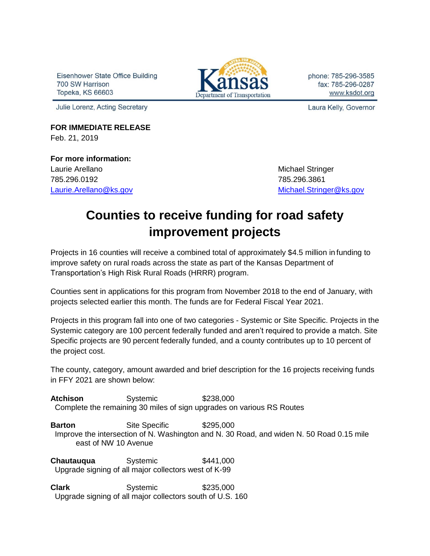Eisenhower State Office Building 700 SW Harrison Topeka, KS 66603



phone: 785-296-3585 fax: 785-296-0287 www.ksdot.org

Julie Lorenz, Acting Secretary

Laura Kelly, Governor

**FOR IMMEDIATE RELEASE** Feb. 21, 2019

**For more information:**  Laurie Arellano **Michael Stringer** Michael Stringer 785.296.0192 785.296.3861

[Laurie.Arellano@ks.gov](mailto:Laurie.Arellano@ks.gov) [Michael.Stringer@ks.gov](mailto:Michael.Stringer@ks.gov)

## **Counties to receive funding for road safety improvement projects**

Projects in 16 counties will receive a combined total of approximately \$4.5 million in funding to improve safety on rural roads across the state as part of the Kansas Department of Transportation's High Risk Rural Roads (HRRR) program.

Counties sent in applications for this program from November 2018 to the end of January, with projects selected earlier this month. The funds are for Federal Fiscal Year 2021.

Projects in this program fall into one of two categories - Systemic or Site Specific. Projects in the Systemic category are 100 percent federally funded and aren't required to provide a match. Site Specific projects are 90 percent federally funded, and a county contributes up to 10 percent of the project cost.

The county, category, amount awarded and brief description for the 16 projects receiving funds in FFY 2021 are shown below:

**Atchison** Systemic \$238,000 Complete the remaining 30 miles of sign upgrades on various RS Routes

**Barton** Site Specific \$295,000 Improve the intersection of N. Washington and N. 30 Road, and widen N. 50 Road 0.15 mile east of NW 10 Avenue

**Chautauqua** Systemic  $$441,000$ Upgrade signing of all major collectors west of K-99

**Clark** Systemic \$235,000 Upgrade signing of all major collectors south of U.S. 160